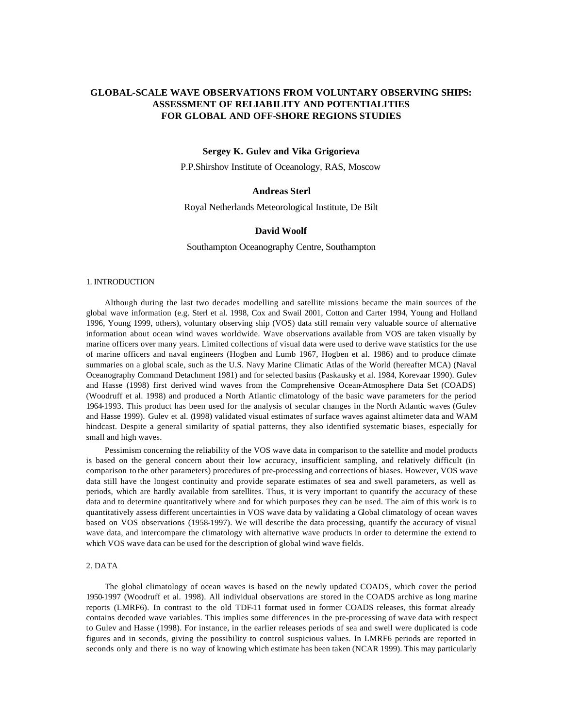# **GLOBAL-SCALE WAVE OBSERVATIONS FROM VOLUNTARY OBSERVING SHIPS: ASSESSMENT OF RELIABILITY AND POTENTIALITIES FOR GLOBAL AND OFF-SHORE REGIONS STUDIES**

## **Sergey K. Gulev and Vika Grigorieva**

P.P.Shirshov Institute of Oceanology, RAS, Moscow

## **Andreas Sterl**

Royal Netherlands Meteorological Institute, De Bilt

## **David Woolf**

Southampton Oceanography Centre, Southampton

#### 1. INTRODUCTION

Although during the last two decades modelling and satellite missions became the main sources of the global wave information (e.g. Sterl et al. 1998, Cox and Swail 2001, Cotton and Carter 1994, Young and Holland 1996, Young 1999, others), voluntary observing ship (VOS) data still remain very valuable source of alternative information about ocean wind waves worldwide. Wave observations available from VOS are taken visually by marine officers over many years. Limited collections of visual data were used to derive wave statistics for the use of marine officers and naval engineers (Hogben and Lumb 1967, Hogben et al. 1986) and to produce climate summaries on a global scale, such as the U.S. Navy Marine Climatic Atlas of the World (hereafter MCA) (Naval Oceanography Command Detachment 1981) and for selected basins (Paskausky et al. 1984, Korevaar 1990). Gulev and Hasse (1998) first derived wind waves from the Comprehensive Ocean-Atmosphere Data Set (COADS) (Woodruff et al. 1998) and produced a North Atlantic climatology of the basic wave parameters for the period 1964-1993. This product has been used for the analysis of secular changes in the North Atlantic waves (Gulev and Hasse 1999). Gulev et al. (1998) validated visual estimates of surface waves against altimeter data and WAM hindcast. Despite a general similarity of spatial patterns, they also identified systematic biases, especially for small and high waves.

Pessimism concerning the reliability of the VOS wave data in comparison to the satellite and model products is based on the general concern about their low accuracy, insufficient sampling, and relatively difficult (in comparison to the other parameters) procedures of pre-processing and corrections of biases. However, VOS wave data still have the longest continuity and provide separate estimates of sea and swell parameters, as well as periods, which are hardly available from satellites. Thus, it is very important to quantify the accuracy of these data and to determine quantitatively where and for which purposes they can be used. The aim of this work is to quantitatively assess different uncertainties in VOS wave data by validating a Global climatology of ocean waves based on VOS observations (1958-1997). We will describe the data processing, quantify the accuracy of visual wave data, and intercompare the climatology with alternative wave products in order to determine the extend to which VOS wave data can be used for the description of global wind wave fields.

## 2. DATA

The global climatology of ocean waves is based on the newly updated COADS, which cover the period 1950-1997 (Woodruff et al. 1998). All individual observations are stored in the COADS archive as long marine reports (LMRF6). In contrast to the old TDF-11 format used in former COADS releases, this format already contains decoded wave variables. This implies some differences in the pre-processing of wave data with respect to Gulev and Hasse (1998). For instance, in the earlier releases periods of sea and swell were duplicated is code figures and in seconds, giving the possibility to control suspicious values. In LMRF6 periods are reported in seconds only and there is no way of knowing which estimate has been taken (NCAR 1999). This may particularly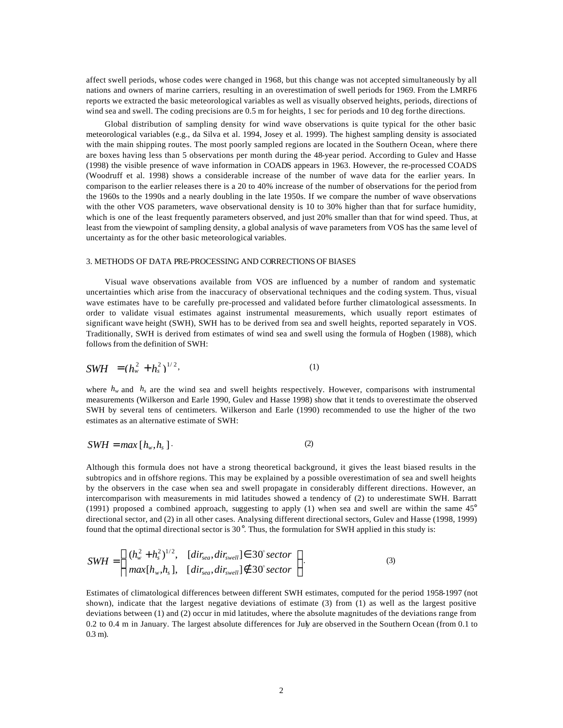affect swell periods, whose codes were changed in 1968, but this change was not accepted simultaneously by all nations and owners of marine carriers, resulting in an overestimation of swell periods for 1969. From the LMRF6 reports we extracted the basic meteorological variables as well as visually observed heights, periods, directions of wind sea and swell. The coding precisions are 0.5 m for heights, 1 sec for periods and 10 deg for the directions.

Global distribution of sampling density for wind wave observations is quite typical for the other basic meteorological variables (e.g., da Silva et al. 1994, Josey et al. 1999). The highest sampling density is associated with the main shipping routes. The most poorly sampled regions are located in the Southern Ocean, where there are boxes having less than 5 observations per month during the 48-year period. According to Gulev and Hasse (1998) the visible presence of wave information in COADS appears in 1963. However, the re-processed COADS (Woodruff et al. 1998) shows a considerable increase of the number of wave data for the earlier years. In comparison to the earlier releases there is a 20 to 40% increase of the number of observations for the period from the 1960s to the 1990s and a nearly doubling in the late 1950s. If we compare the number of wave observations with the other VOS parameters, wave observational density is 10 to 30% higher than that for surface humidity, which is one of the least frequently parameters observed, and just 20% smaller than that for wind speed. Thus, at least from the viewpoint of sampling density, a global analysis of wave parameters from VOS has the same level of uncertainty as for the other basic meteorological variables.

#### 3. METHODS OF DATA PRE-PROCESSING AND CORRECTIONS OF BIASES

Visual wave observations available from VOS are influenced by a number of random and systematic uncertainties which arise from the inaccuracy of observational techniques and the coding system. Thus, visual wave estimates have to be carefully pre-processed and validated before further climatological assessments. In order to validate visual estimates against instrumental measurements, which usually report estimates of significant wave height (SWH), SWH has to be derived from sea and swell heights, reported separately in VOS. Traditionally, SWH is derived from estimates of wind sea and swell using the formula of Hogben (1988), which follows from the definition of SWH:

$$
SWH = (h_w^2 + h_v^2)^{1/2}, \tag{1}
$$

where  $h_w$  and  $h_s$  are the wind sea and swell heights respectively. However, comparisons with instrumental measurements (Wilkerson and Earle 1990, Gulev and Hasse 1998) show that it tends to overestimate the observed SWH by several tens of centimeters. Wilkerson and Earle (1990) recommended to use the higher of the two estimates as an alternative estimate of SWH:

$$
SWH = max [h_w, h_s]. \tag{2}
$$

Although this formula does not have a strong theoretical background, it gives the least biased results in the subtropics and in offshore regions. This may be explained by a possible overestimation of sea and swell heights by the observers in the case when sea and swell propagate in considerably different directions. However, an intercomparison with measurements in mid latitudes showed a tendency of (2) to underestimate SWH. Barratt (1991) proposed a combined approach, suggesting to apply (1) when sea and swell are within the same 45° directional sector, and (2) in all other cases. Analysing different directional sectors, Gulev and Hasse (1998, 1999) found that the optimal directional sector is  $30^{\circ}$ . Thus, the formulation for SWH applied in this study is:

$$
SWH = \begin{cases} (h_w^2 + h_s^2)^{1/2}, & [dir_{sea}, dir_{swell}] \in 30^\circ sector \\ max[h_w, h_s], & [dir_{sea}, dir_{swell}] \notin 30^\circ sector \end{cases}
$$
 (3)

Estimates of climatological differences between different SWH estimates, computed for the period 1958-1997 (not shown), indicate that the largest negative deviations of estimate (3) from (1) as well as the largest positive deviations between (1) and (2) occur in mid latitudes, where the absolute magnitudes of the deviations range from 0.2 to 0.4 m in January. The largest absolute differences for July are observed in the Southern Ocean (from 0.1 to 0.3 m).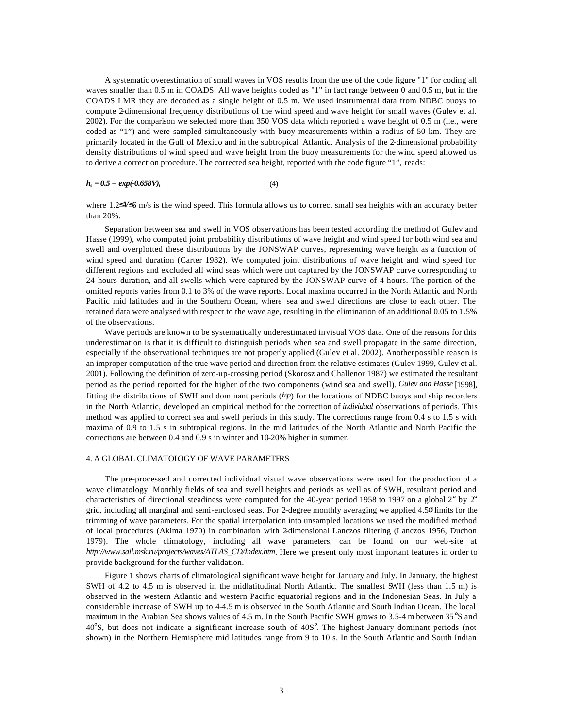A systematic overestimation of small waves in VOS results from the use of the code figure "1" for coding all waves smaller than 0.5 m in COADS. All wave heights coded as "1" in fact range between 0 and 0.5 m, but in the COADS LMR they are decoded as a single height of 0.5 m. We used instrumental data from NDBC buoys to compute 2-dimensional frequency distributions of the wind speed and wave height for small waves (Gulev et al. 2002). For the comparison we selected more than 350 VOS data which reported a wave height of 0.5 m (i.e., were coded as "1") and were sampled simultaneously with buoy measurements within a radius of 50 km. They are primarily located in the Gulf of Mexico and in the subtropical Atlantic. Analysis of the 2-dimensional probability density distributions of wind speed and wave height from the buoy measurements for the wind speed allowed us to derive a correction procedure. The corrected sea height, reported with the code figure "1", reads:

#### $h_s = 0.5 - exp(-0.658V),$  (4)

where 1.2≤*V*≤6 m/s is the wind speed. This formula allows us to correct small sea heights with an accuracy better than 20%.

Separation between sea and swell in VOS observations has been tested according the method of Gulev and Hasse (1999), who computed joint probability distributions of wave height and wind speed for both wind sea and swell and overplotted these distributions by the JONSWAP curves, representing wave height as a function of wind speed and duration (Carter 1982). We computed joint distributions of wave height and wind speed for different regions and excluded all wind seas which were not captured by the JONSWAP curve corresponding to 24 hours duration, and all swells which were captured by the JONSWAP curve of 4 hours. The portion of the omitted reports varies from 0.1 to 3% of the wave reports. Local maxima occurred in the North Atlantic and North Pacific mid latitudes and in the Southern Ocean, where sea and swell directions are close to each other. The retained data were analysed with respect to the wave age, resulting in the elimination of an additional 0.05 to 1.5% of the observations.

Wave periods are known to be systematically underestimated in visual VOS data. One of the reasons for this underestimation is that it is difficult to distinguish periods when sea and swell propagate in the same direction, especially if the observational techniques are not properly applied (Gulev et al. 2002). Another possible reason is an improper computation of the true wave period and direction from the relative estimates (Gulev 1999, Gulev et al. 2001). Following the definition of zero-up-crossing period (Skorosz and Challenor 1987) we estimated the resultant period as the period reported for the higher of the two components (wind sea and swell). *Gulev and Hasse* [1998], fitting the distributions of SWH and dominant periods (*h*|*p*) for the locations of NDBC buoys and ship recorders in the North Atlantic, developed an empirical method for the correction of *individual* observations of periods. This method was applied to correct sea and swell periods in this study. The corrections range from 0.4 s to 1.5 s with maxima of 0.9 to 1.5 s in subtropical regions. In the mid latitudes of the North Atlantic and North Pacific the corrections are between 0.4 and 0.9 s in winter and 10-20% higher in summer.

### 4. A GLOBAL CLIMATOLOGY OF WAVE PARAMETERS

The pre-processed and corrected individual visual wave observations were used for the production of a wave climatology. Monthly fields of sea and swell heights and periods as well as of SWH, resultant period and characteristics of directional steadiness were computed for the 40-year period 1958 to 1997 on a global  $2^{\circ}$  by  $2^{\circ}$ grid, including all marginal and semi-enclosed seas. For 2-degree monthly averaging we applied 4.5σ limits for the trimming of wave parameters. For the spatial interpolation into unsampled locations we used the modified method of local procedures (Akima 1970) in combination with 2-dimensional Lanczos filtering (Lanczos 1956, Duchon 1979). The whole climatology, including all wave parameters, can be found on our web-site at *http://www.sail.msk.ru/projects/waves/ATLAS\_CD/Index.htm*. Here we present only most important features in order to provide background for the further validation.

Figure 1 shows charts of climatological significant wave height for January and July. In January, the highest SWH of 4.2 to 4.5 m is observed in the midlatitudinal North Atlantic. The smallest SWH (less than 1.5 m) is observed in the western Atlantic and western Pacific equatorial regions and in the Indonesian Seas. In July a considerable increase of SWH up to 4-4.5 m is observed in the South Atlantic and South Indian Ocean. The local maximum in the Arabian Sea shows values of 4.5 m. In the South Pacific SWH grows to 3.5-4 m between 35°S and 40°S, but does not indicate a significant increase south of 40S°. The highest January dominant periods (not shown) in the Northern Hemisphere mid latitudes range from 9 to 10 s. In the South Atlantic and South Indian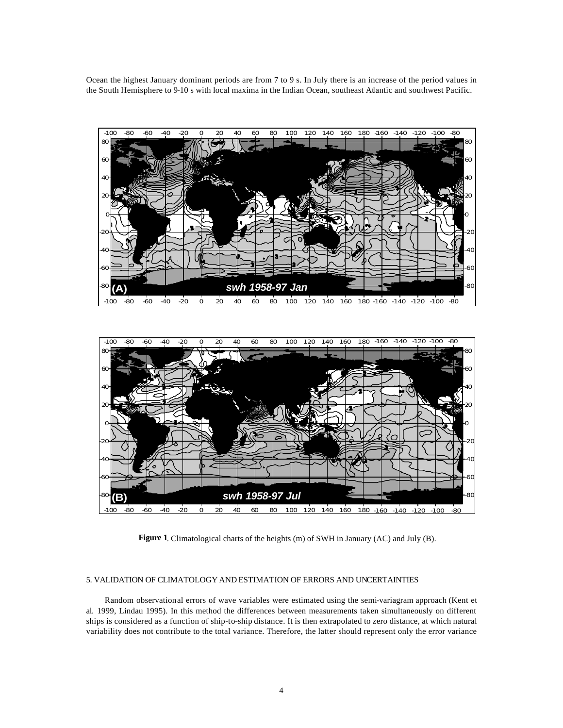Ocean the highest January dominant periods are from 7 to 9 s. In July there is an increase of the period values in the South Hemisphere to 9-10 s with local maxima in the Indian Ocean, southeast Atlantic and southwest Pacific.





**Figure 1**. Climatological charts of the heights (m) of SWH in January (AC) and July (B).

## 5. VALIDATION OF CLIMATOLOGY AND ESTIMATION OF ERRORS AND UNCERTAINTIES

Random observational errors of wave variables were estimated using the semi-variagram approach (Kent et al. 1999, Lindau 1995). In this method the differences between measurements taken simultaneously on different ships is considered as a function of ship-to-ship distance. It is then extrapolated to zero distance, at which natural variability does not contribute to the total variance. Therefore, the latter should represent only the error variance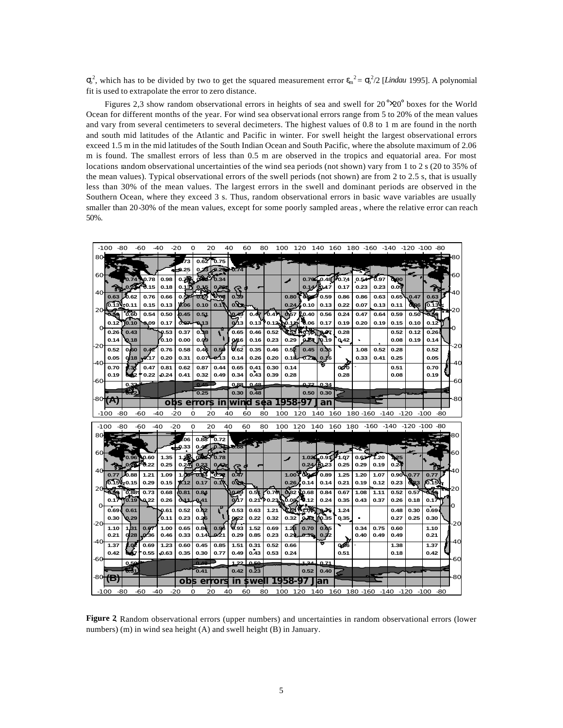$\sigma_0^2$ , which has to be divided by two to get the squared measurement error  $\epsilon_m^2 = \sigma_0^2/2$  [*Lindau* 1995]. A polynomial fit is used to extrapolate the error to zero distance.

Figures 2,3 show random observational errors in heights of sea and swell for  $20^{\circ} \times 20^{\circ}$  boxes for the World Ocean for different months of the year. For wind sea observational errors range from 5 to 20% of the mean values and vary from several centimeters to several decimeters. The highest values of 0.8 to 1 m are found in the north and south mid latitudes of the Atlantic and Pacific in winter. For swell height the largest observational errors exceed 1.5 m in the mid latitudes of the South Indian Ocean and South Pacific, where the absolute maximum of 2.06 m is found. The smallest errors of less than 0.5 m are observed in the tropics and equatorial area. For most locations random observational uncertainties of the wind sea periods (not shown) vary from 1 to 2 s (20 to 35% of the mean values). Typical observational errors of the swell periods (not shown) are from 2 to 2.5 s, that is usually less than 30% of the mean values. The largest errors in the swell and dominant periods are observed in the Southern Ocean, where they exceed 3 s. Thus, random observational errors in basic wave variables are usually smaller than 20-30% of the mean values, except for some poorly sampled areas, where the relative error can reach 50%.

| $-100$<br>-80<br>-60          | $-40$                         | $-20$<br>Ω          |              | 20            | 40               | 60                      | 80           | 100 120      |              | 140                         | 160                         |                 |              | 180 -160 -140 -120 -100 -80 |               |               |     |
|-------------------------------|-------------------------------|---------------------|--------------|---------------|------------------|-------------------------|--------------|--------------|--------------|-----------------------------|-----------------------------|-----------------|--------------|-----------------------------|---------------|---------------|-----|
| 80                            |                               | 73                  | 0.62         | 0.75          |                  |                         |              |              |              |                             |                             |                 |              |                             |               |               |     |
| 60                            |                               | - 0.25              |              | $-0.23$       | 70.74            |                         |              |              |              |                             |                             |                 |              |                             |               |               |     |
|                               | 0.98<br>0.78<br>0.15<br>0.18  | 0.7序<br>0.13        | ക്ഷ<br>0,15  | 0.34<br>0.262 |                  |                         |              |              |              | $0.70 - 0.48$<br>0.14/10.17 | 0.74<br>0.17                | 0.54<br>0.23    | შ.97<br>0.23 | 0,00<br>0.09                |               | ħ             |     |
| 40<br>0.62<br>0.63            | 0.76<br>0.66                  | 0.57                | 0.69         | 70.09         | 0.39             |                         |              | 0.80         | 0.98         | 0.59                        | 0.86                        | 0.86            | 0.63         | 0.65                        | 0.47          | 0.63          |     |
| 6.13<br>:0.11<br>20           | 0.15<br>0.13                  | 0.06                | 0.10         | 0.11          | o Yu             |                         |              | 0.24         | 0.10         | 0.13                        | 0.22                        | 0.07            | 0.13         | 0.11                        | digo          | ro 131        |     |
| 0.60                          | 0.54<br>0.50                  | 0.45                | 0.51         |               |                  | 0.45                    | 0.47         | 0.57         | Ł0.40        | 0.56                        | 0.24                        | 0.47            | 0.64         | 0.59                        | 0.50          | 59            | ₩20 |
| TO 10<br>0.12<br>0.26         | 0.09<br>0.17                  | 0.07                | 0,13         | R             | 0 <sup>n</sup> 3 | 0.13<br>0.46            | 0.12.        | NO.11        | 06           | 0.17                        | 0.19                        | 0.20            | 0.19         | 0.15                        | 0.10          | 0.12          | ∩   |
| 0.43<br>0.14<br>0.18          | 0.53<br>0.10                  | 0.37<br>0.00        | 0.38<br>0.09 |               | 0.65<br>0.46     | 0.16                    | 0.52<br>0.23 | 0.29         | 0.24         | ,67<br>10.19                | 0.28<br>0,42                |                 |              | 0.52<br>0.08                | 0.12<br>0.19  | 0.26<br>0.14  |     |
| -20<br>0.60<br>0.52           | 0.76<br>0.42                  | 0.58                | 0.46         | 0.50          | 0.62             | 0.35                    | 0.46         | 0.52         | 0.45         | 0.3                         |                             | 1.08            | 0.52         | 0.28                        |               | 0.52          | -20 |
| 0.05<br>0.18<br>-40           | 0.20<br>17                    | 0.31                | 0.07         | 0.13          | 0.14             | 0.26                    | 0.20         | 0.18         | 0.221        | 0.16                        |                             | 0.33            | 0.41         | 0.25                        |               | 0.05          |     |
| Ø.34<br>0.70<br>0.19<br>ödé2  | 0.81<br>0.47<br>0.22<br>0.24  | 0.62<br>0.41        | 0.87<br>0.32 | 0.44<br>0.49  | 0.65<br>0.34     | 0.41<br>0.43            | 0.30<br>0.39 | 0.14<br>0.28 |              |                             | $\overline{\alpha}$<br>0.28 |                 |              | 0.51<br>0.08                |               | 0.70<br>0.19  |     |
| -60<br>$0.3^{\circ}$          |                               |                     | 0.45         |               | 0.88             | 0.48                    |              |              |              | $0.72 \cdot 0.34$           |                             |                 |              |                             |               |               |     |
| æ                             |                               |                     | 0.25         |               | 0.30             | 0.48                    |              |              | 0.50         | 0.30                        |                             |                 |              |                             |               |               |     |
| $-80(A)$                      |                               | obs<br>$\mathbf{e}$ | rror:        | $\mathbf{u}$  | win              | d<br>sea                |              | 1958.        | 97           | lan                         |                             |                 |              |                             |               |               | -80 |
| -80<br>-60<br>-100            | $-40$                         | $-20$<br>O          |              | 20            | 40               | 60                      | 80           | 100          | 120          | 140                         | 160                         | 180 - 160 - 140 |              |                             | $-120$        | $-100$        | -80 |
|                               |                               |                     |              |               |                  |                         |              |              |              |                             |                             |                 |              |                             |               |               |     |
| $-100$<br>-80<br>-60          | $-40$                         | $-20$<br>O          |              | 20            | 40               | 60                      | 80           | 100 120      |              | 140                         | 160 180                     |                 | $-160$       | -140                        | -120 -100 -80 |               |     |
| 80                            |                               | 06                  | 0.88         | 0.72          |                  |                         |              |              |              |                             |                             |                 |              |                             |               |               |     |
|                               |                               | -0<br>33            | 0.44         | $0.34 + 0.88$ |                  |                         |              |              |              |                             |                             |                 |              |                             |               |               |     |
| 60<br>0.96                    | 0.60<br>1.35                  | Æ                   | ര്ജ്ജ്       | 0.78          |                  |                         |              | ◢            |              | 1.026, 0.91                 | 1.07                        | 0.63            | 1.20         | 25                          |               |               |     |
| 40                            | 0.25<br>0.22                  | $0.24^{n}$          | 9.33         | $\bf{0}$      | Œ                |                         |              |              | 0.24         | 50.23                       | 0.25                        | 0.29            | 0.19         | 0.24                        |               | ТŦ            |     |
| 0.88<br>0.77<br>lo.15<br>0.15 | 1.21<br>1.09<br>0.29<br>0.15  | 1.00<br>0.12        | 0.04<br>0.17 | 670<br>0.1    | 0.47<br>o.co     |                         |              | 1.00<br>0.26 | dh,<br>0.14  | 0.89<br>0.14                | 1.25<br>0.21                | 1.20<br>0.19    | 1.07<br>0.12 | 0.90<br>0.23                | 0.77<br>0.23  | 0.77<br>16 15 |     |
| 0.88                          | 0.73<br>0.68                  | (0.81)              | 0.84         |               | 0.69             | $0.5^{\circ}$           | 0.70         | 0.82         | 10.68        | 0.84                        | 0.67                        | 1.08            | 1.11         | 0.52                        | 0.57          |               | 20  |
| 0.19<br>0.17<br>о             | 0,22<br>0.26                  | 0.11                | 0.41         |               | 0.17             | 0.21                    | P 0.23       | 0.08         | 9.12         | 0.24                        | 0.35                        | 0.43            | 0.37         | 0.26                        | 0.18          | 0.17          | о   |
| 0.69<br>0.61                  | 0.61                          | 0.52                | 0.62         | Ţ.            | 0.53             | 0.63                    | 1.21         |              |              | 0.75                        | 1.24                        | $\blacksquare$  |              | 0.48                        | 0.30          | 0.69          |     |
| 0.30<br>0.29<br>-20<br>1,31   | 0.11                          | 0.23                | 0.26         |               | 0,22<br>0.93     | 0.22                    | 0.32         | 0.32         | 0.43         | 10.35                       | 0.35                        |                 |              | 0.27                        | 0.25          | 0.30          | -20 |
| 1.10<br>0.21<br>0.28          | 1.00<br>0.67<br>-0.36<br>0.46 | 0.65<br>0.33        | 0.86<br>0.14 | 0.96<br>0:21  | 0.29             | 1.52<br>0.85            | 0.69<br>0.23 | 1.23<br>0.29 | 0.70<br>0.39 | 0.65<br>0.32                |                             | 0.34<br>0.40    | 0.75<br>0.49 | 0.60<br>0.49                |               | 1.10<br>0.21  |     |
| -40<br>.Q2<br>1.37            | 1.23<br>0.69                  | 0.60                | 0.45         | 0.85          | 1.51             | 0.31                    | 0.52         | 0.66         |              |                             | 0.86                        |                 |              | 1.38                        |               | 1.37          |     |
| 0.42<br>-60                   | 0.55<br>0.63                  | 0.35                | 0.30         | 0.77          | 0.49             | 0.43                    | 0.53         | 0.24         |              |                             | 0.51                        |                 |              | 0.18                        |               | 0.42          | -60 |
| 0,50<br>₩,                    |                               |                     | 0.48<br>0.41 |               | 1.22<br>0.42     | 50<br>$0.\overline{2}3$ |              |              | 1.24<br>0.52 | 0.71<br>0.40                |                             |                 |              |                             |               |               |     |
| -80 (B)                       |                               | obs                 | er           | rors          | in               | swe                     |              | '58          |              | an                          |                             |                 |              |                             |               |               | -80 |

**Figure 2**. Random observational errors (upper numbers) and uncertainties in random observational errors (lower numbers) (m) in wind sea height (A) and swell height (B) in January.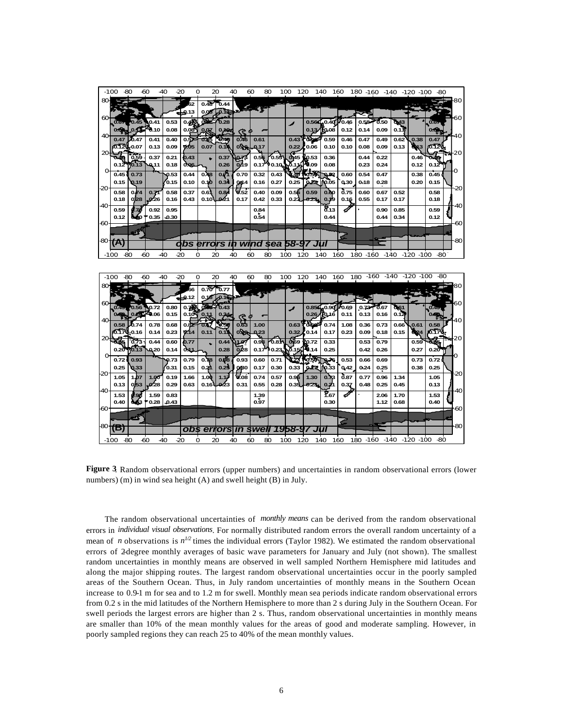|      | $-100$<br>-80    |                 | -60          | -40          | -20              | o                 | 20                | 40           | 60              | 80           | 120<br>100        |               | 140<br>160                       |                       |              |                         |              |              | 180 -160 -140 -120 -100 -80 |       |
|------|------------------|-----------------|--------------|--------------|------------------|-------------------|-------------------|--------------|-----------------|--------------|-------------------|---------------|----------------------------------|-----------------------|--------------|-------------------------|--------------|--------------|-----------------------------|-------|
| ഌ    |                  |                 |              |              | 52               | 0.48              | ზ.44              |              |                 |              |                   |               |                                  |                       |              |                         |              |              |                             | -80   |
|      |                  |                 |              |              | -0.13            | 0.06              | 0.14              |              |                 |              |                   |               |                                  |                       |              |                         |              |              |                             |       |
| 60   | 0.67             | 0.45            | 0.41         | 0.53         | 0.4 <sup>2</sup> | ober <sup>2</sup> | 0.28              |              |                 |              | s                 |               | $0.56C$ <sub>0.40</sub> $P$ 0.46 |                       | 0.58         | 0.50                    | 0,43         |              | 0.67                        | 60    |
|      | 0.09             | 0.15            | 0.10         | 0.08         | 0.08             | 0.07              | 0.102             | ¢.           |                 |              |                   |               | 0.13/0.08                        | 0.12                  | 0.14         | 0.09                    | 0.11         |              | 0.60 <sub>2</sub>           |       |
| 40   | 0.47             | D.47            | 0.41         | 0.40         | 0.5.             |                   | <b>b.48</b>       | 0.46         | 0.61            |              | 0.43              |               | 0.59                             | 0.46                  | 0.47         | 0.49                    | 0.62         | 0.38         | 0.47                        | 40    |
|      | ለን 12-           | 0.07            | 0.13         | 0.09         | 0.05             | 0.07              | 0.1               | 0.49         | 0.17            |              | 0.22              | 0.06          | 0.10                             | 0.10                  | 0.08         | 0.09                    | 0.13         | <b>д</b> из  | io.120                      | -20   |
|      | 040              | 0.59            | 0.37         | 0.21         | 0.43             |                   | 0.37              | 0,74         | 0.56            | 0.55         | 0.45              | <b>KO.53</b>  | 0.36                             |                       | 0.44         | 0.22                    |              | 0.46         | ō4or                        |       |
|      | 0.12             | 1013            | 0.11         | 0.18         | 0.06             |                   | 0.26              | 0.19         | 0.17            | 0.10         |                   | 0.09          | 0.08                             |                       | 0.23         | 0.24                    |              | 0.12         | 0.12                        |       |
|      | 0.45             | 0.73            |              | 0.53         | 0.44             | $0\lambda8$       | $\overline{O(7)}$ | 0.70         | 0.32            | 0.43         |                   |               | 192                              | 0.60                  | 0.54         | 0.47                    |              | 0.38         | 0.45                        |       |
| -20  | 0.15             | Q <sub>19</sub> |              | ro 15        | 0.10             | 0.10              | 0.34              | 044          | 0.16            | 0.27         | 0.25              | 0.22          | <b>10.05</b>                     | 0,30                  | 0.18         | 0.28                    |              | 0.20         | 0.15                        | -20   |
|      | 0.58<br>0.18     | 0.74<br>0.28    | 0.71<br>0.26 | 0.58<br>0.16 | 0.37<br>0.43     | 0.6<br>0.10       | 0.84<br>-0-21     | 0.52<br>0.17 | 0.40<br>0.42    | 0.09<br>0.33 | 0.56<br>0.23      | 0.59<br>0.23. | 0.60<br>0.19                     | 0.75<br>0.16          | 0.60<br>0.55 | 0.67<br>0.17            | 0.52<br>0.17 |              | 0.58<br>0.18                |       |
| 40   |                  |                 |              |              |                  |                   |                   |              |                 |              |                   |               | ชี. 13                           |                       |              |                         |              |              |                             | $-40$ |
|      | 0.59<br>0.12     | d 70<br>640     | 0.92<br>0.35 | 0.95<br>0.30 |                  |                   |                   |              | 0.84<br>0.54    |              |                   |               | 0.44                             |                       |              | 0.90<br>0.44            | 0.85<br>0.34 |              | 0.59<br>0.12                |       |
| -60  |                  |                 |              |              |                  |                   |                   |              |                 |              |                   |               |                                  |                       |              |                         |              |              |                             | -60   |
|      |                  | ಲ್              |              |              |                  |                   |                   |              |                 |              |                   |               |                                  |                       |              |                         |              |              |                             |       |
|      | $^{80}$ (A)      |                 |              |              | obs              | errors i          |                   |              | wind sea        |              | 58-9              |               |                                  |                       |              |                         |              |              |                             | -80   |
|      | -100             | -60<br>-80      |              | $-40$        | -20              | O<br>20           |                   | 40           | 60              | 80           | 100               | 120           | 140                              | 160                   | 180 - 160    | -140                    |              | $-120 - 100$ | -80                         |       |
|      |                  |                 |              |              |                  |                   |                   |              |                 |              |                   |               |                                  |                       |              |                         |              |              |                             |       |
|      |                  |                 |              |              |                  |                   |                   |              |                 |              |                   |               |                                  |                       |              |                         |              |              |                             |       |
|      |                  |                 |              |              |                  |                   |                   |              |                 |              |                   |               |                                  |                       |              |                         |              |              |                             |       |
|      | -100             | -80             | -60          | 40           | -20              | O<br>20           |                   | 40           | 60              | 80           | 100               | 120           | 140                              | 160                   |              | 180 -160 -140 -120 -100 |              |              | -80                         |       |
| 80   |                  |                 |              |              | ጓና               | 0.70              | 6.77              |              |                 |              |                   |               |                                  |                       |              |                         |              |              |                             | 80    |
|      |                  |                 |              |              | -0.12            | 0.16              | -0.10             |              | r ş             |              |                   |               |                                  |                       |              |                         |              |              |                             |       |
| ഌ    | 0.49             | 0.56            | 0.72         | 0.80         | 0.75             | രിട               | 0.43              |              |                 |              | ◢                 | 0.854         |                                  | $0.90$ $\approx 0.69$ | 0.73         | შ.67                    | 0.61         |              | 0.49                        |       |
|      | 0.0 <sub>0</sub> |                 | Fe.06        | 0.15         | $0.10 -$         | 0.11              | 0.34              | Ć.           |                 |              |                   | 0.26          | <b>To</b> 16                     | 0.11                  | 0.13         | 0.16                    | 0.12         |              | 0.00 <sub>0</sub>           |       |
| 40   | 0.58             | b.74            | 0.78         | 0.68         | 0.82             | 06                | 6.56              | 0.63         | 1.00            |              | 0.63              | dha           | 0.74                             | 1.08                  | 0.36         | 0.73                    | 0.66         | 0.61         | 0.58                        | 40    |
|      | 16.170-0.16      |                 | 0.14         | 0.23         | 0.14             | 0.11              | 0.13              | 0.90         | 0.23            |              | 0.32              | 0.14          | 0.17                             | 0.23                  | 0.09         | 0.18                    | 0.15         | 0024         | ю.17 <sup>1</sup>           |       |
| 20   |                  | 0.73            | 0.44         | 0.60         | 0.77             |                   | 0.44              | 1.07         | 0.93            | 0.81         | $\overline{0.69}$ | 10.72         | 0.33                             |                       | 0.53         | 0.79                    |              | 0.59         | o da                        | ₩20   |
| Ω    | $0.20^{\circ}$   | 10.13           | 0.20         | 0.14         | d 11             |                   | 0.28              | 0.28         | 0.17            | ግ 0.23       | Õ1:               | 9.14          | 0.25                             |                       | 0.42         | 0.26                    |              | 0.27         | 0.20                        | o     |
|      | 0.72             | 0.93            |              | 073          | 0.79             | 0.78              | 0.98              | 0.93         | 0.60            | 0.71         |                   |               | QJ6                              | 0.53                  | 0.66         | 0.69                    |              | 0.73         | 0.72                        |       |
| -20  | 0.25             | $Q$ 33          |              | 0.31         | 0.15             | 0.21              | 0.25              | 0.80         | 0.17            | 0.30         | 0.33              | 0.17.         | ∥о зз                            | 0,42                  | 0.24         | 0.25                    |              | 0.38         | 0.25                        | -20   |
|      | 1.05             | 1.07            | 1.00         | 0.19         | 1.66             | 1.00              | 1.17              | 4.08         | 0.74            | 0.57         | 0.96              | 1.30          | 0.73                             | 0.87                  | 0.77         | 0.96                    | 1.34         |              | 1.05                        |       |
| -40  | 0.13             | 0,53            | 0'28         | 0.29         | 0.63             | 0.16              | -0.23             | 0.31         | 0.55            | 0.28         | 0.35              | 0.23.         | 0.21                             | 0.37                  | 0.48         | 0.25                    | 0.45         |              | 0.13                        | -40   |
|      | 1.53<br>0.40     | 098<br>663      | 1.59<br>0.28 | 0.83<br>0.43 |                  |                   |                   |              | 1.39<br>0.97    |              |                   |               | T.67<br>0.30                     |                       |              | 2.06<br>1.12            | 1.70<br>0.68 |              | 1.53<br>0.40                |       |
| -60  |                  |                 |              |              |                  |                   |                   |              |                 |              |                   |               |                                  |                       |              |                         |              |              |                             | -60   |
|      |                  | Ē.              |              |              |                  |                   |                   |              |                 |              |                   |               |                                  |                       |              |                         |              |              |                             |       |
| -80- | (B)              |                 |              |              | obs              |                   |                   |              | errors in swell |              | 1958-9            |               |                                  |                       |              |                         |              |              |                             | -80   |
|      | $-100$           | $-80$<br>-60    |              | -40          | -20              | o<br>20           |                   | 40           | 60              | 80           | 100               | 120           | 140                              | 160                   |              | 180 -160 -140 -120 -100 |              |              | $-80$                       |       |

**Figure 3**. Random observational errors (upper numbers) and uncertainties in random observational errors (lower numbers) (m) in wind sea height (A) and swell height (B) in July.

The random observational uncertainties of *monthly means* can be derived from the random observational errors in *individual visual observations*. For normally distributed random errors the overall random uncertainty of a mean of *n* observations is  $n^{1/2}$  times the individual errors (Taylor 1982). We estimated the random observational errors of 2-degree monthly averages of basic wave parameters for January and July (not shown). The smallest random uncertainties in monthly means are observed in well sampled Northern Hemisphere mid latitudes and along the major shipping routes. The largest random observational uncertainties occur in the poorly sampled areas of the Southern Ocean. Thus, in July random uncertainties of monthly means in the Southern Ocean increase to 0.9-1 m for sea and to 1.2 m for swell. Monthly mean sea periods indicate random observational errors from 0.2 s in the mid latitudes of the Northern Hemisphere to more than 2 s during July in the Southern Ocean. For swell periods the largest errors are higher than 2 s. Thus, random observational uncertainties in monthly means are smaller than 10% of the mean monthly values for the areas of good and moderate sampling. However, in poorly sampled regions they can reach 25 to 40% of the mean monthly values.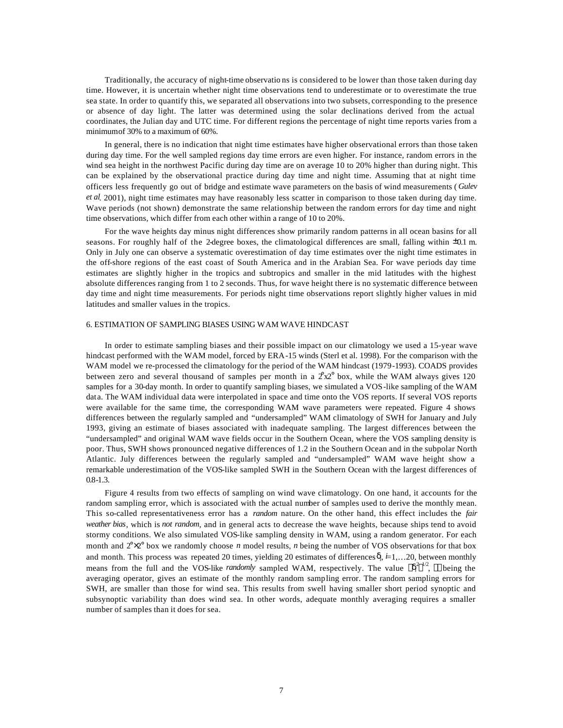Traditionally, the accuracy of night-time observatio ns is considered to be lower than those taken during day time. However, it is uncertain whether night time observations tend to underestimate or to overestimate the true sea state. In order to quantify this, we separated all observations into two subsets, corresponding to the presence or absence of day light. The latter was determined using the solar declinations derived from the actual coordinates, the Julian day and UTC time. For different regions the percentage of night time reports varies from a minimum of 30% to a maximum of 60%.

In general, there is no indication that night time estimates have higher observational errors than those taken during day time. For the well sampled regions day time errors are even higher. For instance, random errors in the wind sea height in the northwest Pacific during day time are on average 10 to 20% higher than during night. This can be explained by the observational practice during day time and night time. Assuming that at night time officers less frequently go out of bridge and estimate wave parameters on the basis of wind measurements ( *Gulev et al*. 2001), night time estimates may have reasonably less scatter in comparison to those taken during day time. Wave periods (not shown) demonstrate the same relationship between the random errors for day time and night time observations, which differ from each other within a range of 10 to 20%.

For the wave heights day minus night differences show primarily random patterns in all ocean basins for all seasons. For roughly half of the 2-degree boxes, the climatological differences are small, falling within  $\pm 0.1$  m. Only in July one can observe a systematic overestimation of day time estimates over the night time estimates in the off-shore regions of the east coast of South America and in the Arabian Sea. For wave periods day time estimates are slightly higher in the tropics and subtropics and smaller in the mid latitudes with the highest absolute differences ranging from 1 to 2 seconds. Thus, for wave height there is no systematic difference between day time and night time measurements. For periods night time observations report slightly higher values in mid latitudes and smaller values in the tropics.

### 6. ESTIMATION OF SAMPLING BIASES USING WAM WAVE HINDCAST

In order to estimate sampling biases and their possible impact on our climatology we used a 15-year wave hindcast performed with the WAM model, forced by ERA-15 winds (Sterl et al. 1998). For the comparison with the WAM model we re-processed the climatology for the period of the WAM hindcast (1979-1993). COADS provides between zero and several thousand of samples per month in a  $2x2^{\circ}$  box, while the WAM always gives 120 samples for a 30-day month. In order to quantify sampling biases, we simulated a VOS-like sampling of the WAM data. The WAM individual data were interpolated in space and time onto the VOS reports. If several VOS reports were available for the same time, the corresponding WAM wave parameters were repeated. Figure 4 shows differences between the regularly sampled and "undersampled" WAM climatology of SWH for January and July 1993, giving an estimate of biases associated with inadequate sampling. The largest differences between the "undersampled" and original WAM wave fields occur in the Southern Ocean, where the VOS sampling density is poor. Thus, SWH shows pronounced negative differences of 1.2 in the Southern Ocean and in the subpolar North Atlantic. July differences between the regularly sampled and "undersampled" WAM wave height show a remarkable underestimation of the VOS-like sampled SWH in the Southern Ocean with the largest differences of 0.8-1.3.

Figure 4 results from two effects of sampling on wind wave climatology. On one hand, it accounts for the random sampling error, which is associated with the actual number of samples used to derive the monthly mean. This so-called representativeness error has a *random* nature. On the other hand, this effect includes the *fair weather bias*, which is *not random*, and in general acts to decrease the wave heights, because ships tend to avoid stormy conditions. We also simulated VOS-like sampling density in WAM, using a random generator. For each month and 2°×2° box we randomly choose *n* model results, *n* being the number of VOS observations for that box and month. This process was repeated 20 times, yielding 20 estimates of differences δ<sub>i</sub>, i=1,...20, between monthly means from the full and the VOS-like *randomly* sampled WAM, respectively. The value  $\langle d_i^2 \rangle^{1/2}$ ,  $\langle \rangle$  being the averaging operator, gives an estimate of the monthly random sampling error. The random sampling errors for SWH, are smaller than those for wind sea. This results from swell having smaller short period synoptic and subsynoptic variability than does wind sea. In other words, adequate monthly averaging requires a smaller number of samples than it does for sea.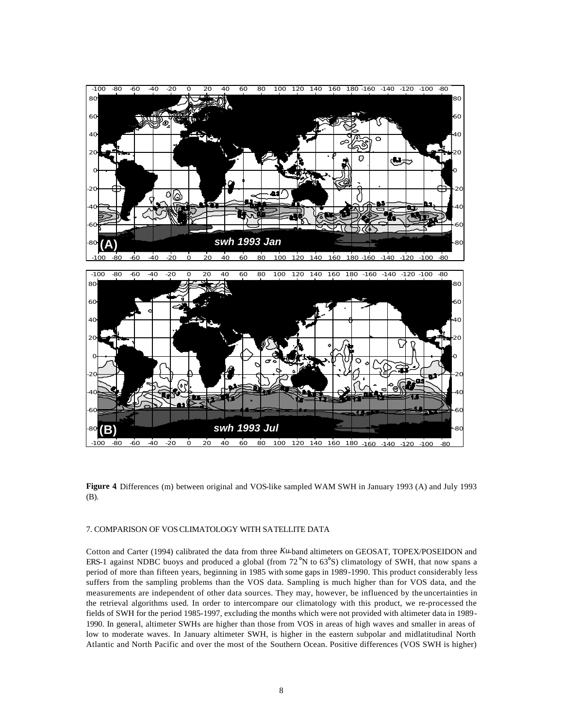



**Figure 4**. Differences (m) between original and VOS-like sampled WAM SWH in January 1993 (A) and July 1993 (B).

#### 7. COMPARISON OF VOS CLIMATOLOGY WITH SATELLITE DATA

Cotton and Carter (1994) calibrated the data from three *Ku*-band altimeters on GEOSAT, TOPEX/POSEIDON and ERS-1 against NDBC buoys and produced a global (from 72°N to 63°S) climatology of SWH, that now spans a period of more than fifteen years, beginning in 1985 with some gaps in 1989-1990. This product considerably less suffers from the sampling problems than the VOS data. Sampling is much higher than for VOS data, and the measurements are independent of other data sources. They may, however, be influenced by the uncertainties in the retrieval algorithms used. In order to intercompare our climatology with this product, we re-processed the fields of SWH for the period 1985-1997, excluding the months which were not provided with altimeter data in 1989- 1990. In general, altimeter SWHs are higher than those from VOS in areas of high waves and smaller in areas of low to moderate waves. In January altimeter SWH, is higher in the eastern subpolar and midlatitudinal North Atlantic and North Pacific and over the most of the Southern Ocean. Positive differences (VOS SWH is higher)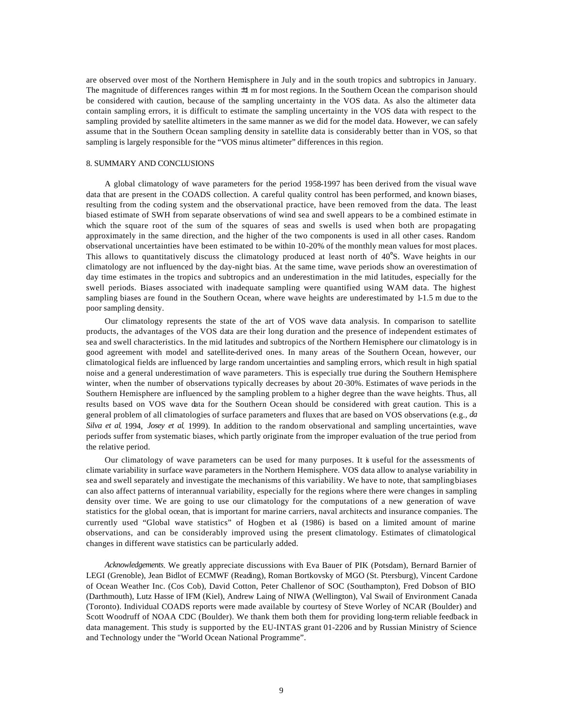are observed over most of the Northern Hemisphere in July and in the south tropics and subtropics in January. The magnitude of differences ranges within ±1 m for most regions. In the Southern Ocean the comparison should be considered with caution, because of the sampling uncertainty in the VOS data. As also the altimeter data contain sampling errors, it is difficult to estimate the sampling uncertainty in the VOS data with respect to the sampling provided by satellite altimeters in the same manner as we did for the model data. However, we can safely assume that in the Southern Ocean sampling density in satellite data is considerably better than in VOS, so that sampling is largely responsible for the "VOS minus altimeter" differences in this region.

#### 8. SUMMARY AND CONCLUSIONS

A global climatology of wave parameters for the period 1958-1997 has been derived from the visual wave data that are present in the COADS collection. A careful quality control has been performed, and known biases, resulting from the coding system and the observational practice, have been removed from the data. The least biased estimate of SWH from separate observations of wind sea and swell appears to be a combined estimate in which the square root of the sum of the squares of seas and swells is used when both are propagating approximately in the same direction, and the higher of the two components is used in all other cases. Random observational uncertainties have been estimated to be within 10-20% of the monthly mean values for most places. This allows to quantitatively discuss the climatology produced at least north of 40°S. Wave heights in our climatology are not influenced by the day-night bias. At the same time, wave periods show an overestimation of day time estimates in the tropics and subtropics and an underestimation in the mid latitudes, especially for the swell periods. Biases associated with inadequate sampling were quantified using WAM data. The highest sampling biases are found in the Southern Ocean, where wave heights are underestimated by 1-1.5 m due to the poor sampling density.

Our climatology represents the state of the art of VOS wave data analysis. In comparison to satellite products, the advantages of the VOS data are their long duration and the presence of independent estimates of sea and swell characteristics. In the mid latitudes and subtropics of the Northern Hemisphere our climatology is in good agreement with model and satellite-derived ones. In many areas of the Southern Ocean, however, our climatological fields are influenced by large random uncertainties and sampling errors, which result in high spatial noise and a general underestimation of wave parameters. This is especially true during the Southern Hemisphere winter, when the number of observations typically decreases by about 20-30%. Estimates of wave periods in the Southern Hemisphere are influenced by the sampling problem to a higher degree than the wave heights. Thus, all results based on VOS wave data for the Southern Ocean should be considered with great caution. This is a general problem of all climatologies of surface parameters and fluxes that are based on VOS observations (e.g., *da Silva et al*. 1994, *Josey et al*. 1999). In addition to the random observational and sampling uncertainties, wave periods suffer from systematic biases, which partly originate from the improper evaluation of the true period from the relative period.

Our climatology of wave parameters can be used for many purposes. It is useful for the assessments of climate variability in surface wave parameters in the Northern Hemisphere. VOS data allow to analyse variability in sea and swell separately and investigate the mechanisms of this variability. We have to note, that sampling biases can also affect patterns of interannual variability, especially for the regions where there were changes in sampling density over time. We are going to use our climatology for the computations of a new generation of wave statistics for the global ocean, that is important for marine carriers, naval architects and insurance companies. The currently used "Global wave statistics" of Hogben et al*.* (1986) is based on a limited amount of marine observations, and can be considerably improved using the present climatology. Estimates of climatological changes in different wave statistics can be particularly added.

*Acknowledgements*. We greatly appreciate discussions with Eva Bauer of PIK (Potsdam), Bernard Barnier of LEGI (Grenoble), Jean Bidlot of ECMWF (Reading), Roman Bortkovsky of MGO (St. Ptersburg), Vincent Cardone of Ocean Weather Inc. (Cos Cob), David Cotton, Peter Challenor of SOC (Southampton), Fred Dobson of BIO (Darthmouth), Lutz Hasse of IFM (Kiel), Andrew Laing of NIWA (Wellington), Val Swail of Environment Canada (Toronto). Individual COADS reports were made available by courtesy of Steve Worley of NCAR (Boulder) and Scott Woodruff of NOAA CDC (Boulder). We thank them both them for providing long-term reliable feedback in data management. This study is supported by the EU-INTAS grant 01-2206 and by Russian Ministry of Science and Technology under the "World Ocean National Programme".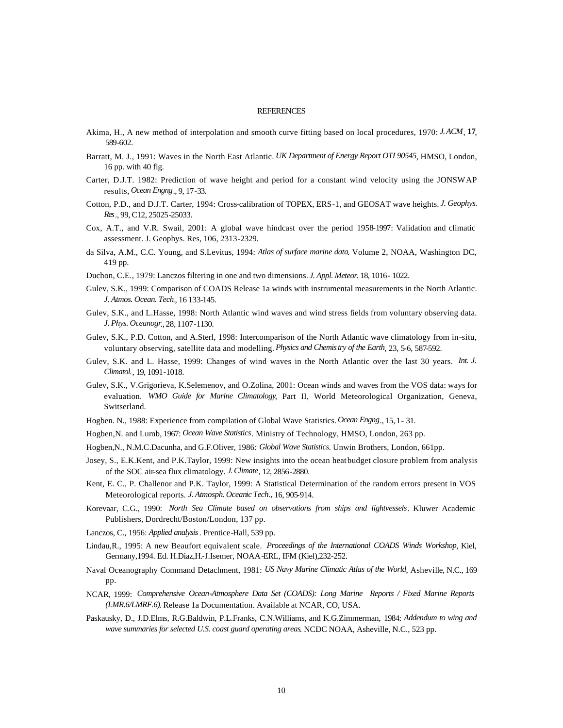#### **REFERENCES**

- Akima, H., A new method of interpolation and smooth curve fitting based on local procedures, 1970: *J. ACM*, **17**, 589-602.
- Barratt, M. J., 1991: Waves in the North East Atlantic. *UK Department of Energy Report OTI 90545*, HMSO, London, 16 pp. with 40 fig.
- Carter, D.J.T. 1982: Prediction of wave height and period for a constant wind velocity using the JONSWAP results, *Ocean Engng*., 9, 17-33.
- Cotton, P.D., and D.J.T. Carter, 1994: Cross-calibration of TOPEX, ERS-1, and GEOSAT wave heights. *J. Geophys. Res*., 99, C12, 25025-25033.
- Cox, A.T., and V.R. Swail, 2001: A global wave hindcast over the period 1958-1997: Validation and climatic assessment. J. Geophys. Res, 106, 2313-2329.
- da Silva, A.M., C.C. Young, and S.Levitus, 1994: *Atlas of surface marine data*. Volume 2, NOAA, Washington DC, 419 pp.
- Duchon, C.E., 1979: Lanczos filtering in one and two dimensions. *J. Appl. Meteor*. 18, 1016- 1022.
- Gulev, S.K., 1999: Comparison of COADS Release 1a winds with instrumental measurements in the North Atlantic. *J. Atmos. Ocean. Tech*., 16 133-145.
- Gulev, S.K., and L.Hasse, 1998: North Atlantic wind waves and wind stress fields from voluntary observing data. *J. Phys. Oceanogr*., 28, 1107-1130.
- Gulev, S.K., P.D. Cotton, and A.Sterl, 1998: Intercomparison of the North Atlantic wave climatology from in-situ, voluntary observing, satellite data and modelling. *Physics and Chemistry of the Earth*, 23, 5-6, 587-592.
- Gulev, S.K. and L. Hasse, 1999: Changes of wind waves in the North Atlantic over the last 30 years. *Int. J. Climatol.*, 19, 1091-1018.
- Gulev, S.K., V.Grigorieva, K.Selemenov, and O.Zolina, 2001: Ocean winds and waves from the VOS data: ways for evaluation. *WMO Guide for Marine Climatology*, Part II, World Meteorological Organization, Geneva, Switserland.
- Hogben. N., 1988: Experience from compilation of Global Wave Statistics. *Ocean Engng*., 15, 1- 31.
- Hogben,N. and Lumb, 1967: *Ocean Wave Statistics*. Ministry of Technology, HMSO, London, 263 pp.
- Hogben,N., N.M.C.Dacunha, and G.F.Oliver, 1986: *Global Wave Statistics*. Unwin Brothers, London, 661pp.
- Josey, S., E.K.Kent, and P.K.Taylor, 1999: New insights into the ocean heat budget closure problem from analysis of the SOC air-sea flux climatology. *J. Climate*, 12, 2856-2880.
- Kent, E. C., P. Challenor and P.K. Taylor, 1999: A Statistical Determination of the random errors present in VOS Meteorological reports. *J. Atmosph. Oceanic Tech.,* 16, 905-914.
- Korevaar, C.G., 1990: *North Sea Climate based on observations from ships and lightvessels*. Kluwer Academic Publishers, Dordrecht/Boston/London, 137 pp.
- Lanczos, C., 1956: *Applied analysis*. Prentice-Hall, 539 pp.
- Lindau,R., 1995: A new Beaufort equivalent scale. *Proceedings of the International COADS Winds Workshop*, Kiel, Germany,1994. Ed. H.Diaz,H.-J.Isemer, NOAA-ERL, IFM (Kiel),232-252.
- Naval Oceanography Command Detachment, 1981: *US Navy Marine Climatic Atlas of the World*, Asheville, N.C., 169 pp.
- NCAR, 1999: *Comprehensive Ocean-Atmosphere Data Set (COADS): Long Marine Reports / Fixed Marine Reports (LMR.6/LMRF.6)*. Release 1a Documentation. Available at NCAR, CO, USA.
- Paskausky, D., J.D.Elms, R.G.Baldwin, P.L.Franks, C.N.Williams, and K.G.Zimmerman, 1984: *Addendum to wing and wave summaries for selected U.S. coast guard operating areas*. NCDC NOAA, Asheville, N.C., 523 pp.